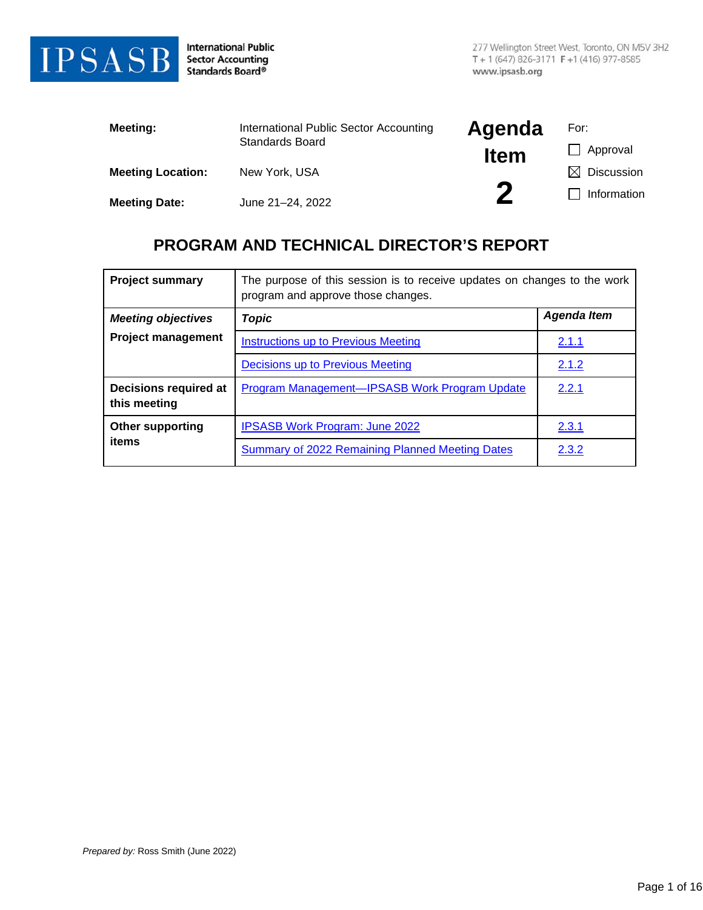

**International Public Sector Accounting** Standards Board®

| Meeting:                 | International Public Sector Accounting | Agenda      | For:                   |
|--------------------------|----------------------------------------|-------------|------------------------|
|                          | Standards Board                        | <b>Item</b> | Approval               |
| <b>Meeting Location:</b> | New York, USA                          |             | $\boxtimes$ Discussion |
| <b>Meeting Date:</b>     | June 21-24, 2022                       |             | Information            |

## **PROGRAM AND TECHNICAL DIRECTOR'S REPORT**

| <b>Project summary</b>                | The purpose of this session is to receive updates on changes to the work<br>program and approve those changes. |                    |  |  |  |  |  |
|---------------------------------------|----------------------------------------------------------------------------------------------------------------|--------------------|--|--|--|--|--|
| <b>Meeting objectives</b>             | Topic                                                                                                          | <b>Agenda Item</b> |  |  |  |  |  |
| <b>Project management</b>             | Instructions up to Previous Meeting                                                                            | 2.1.1              |  |  |  |  |  |
|                                       | Decisions up to Previous Meeting                                                                               | 2.1.2              |  |  |  |  |  |
| Decisions required at<br>this meeting | Program Management-IPSASB Work Program Update                                                                  | 2.2.1              |  |  |  |  |  |
| <b>Other supporting</b>               | <b>IPSASB Work Program: June 2022</b>                                                                          | 2.3.1              |  |  |  |  |  |
| items                                 | Summary of 2022 Remaining Planned Meeting Dates                                                                | 2.3.2              |  |  |  |  |  |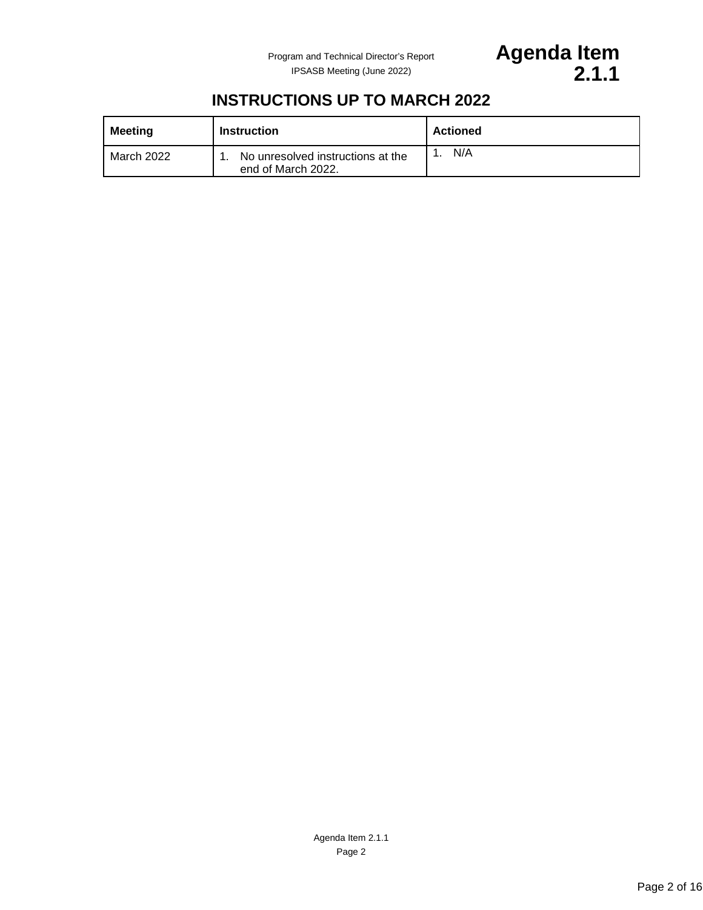

## **INSTRUCTIONS UP TO MARCH 2022**

<span id="page-1-0"></span>

| <b>Meeting</b> | <b>Instruction</b>                                      | <b>Actioned</b> |
|----------------|---------------------------------------------------------|-----------------|
| March 2022     | No unresolved instructions at the<br>end of March 2022. | N/A             |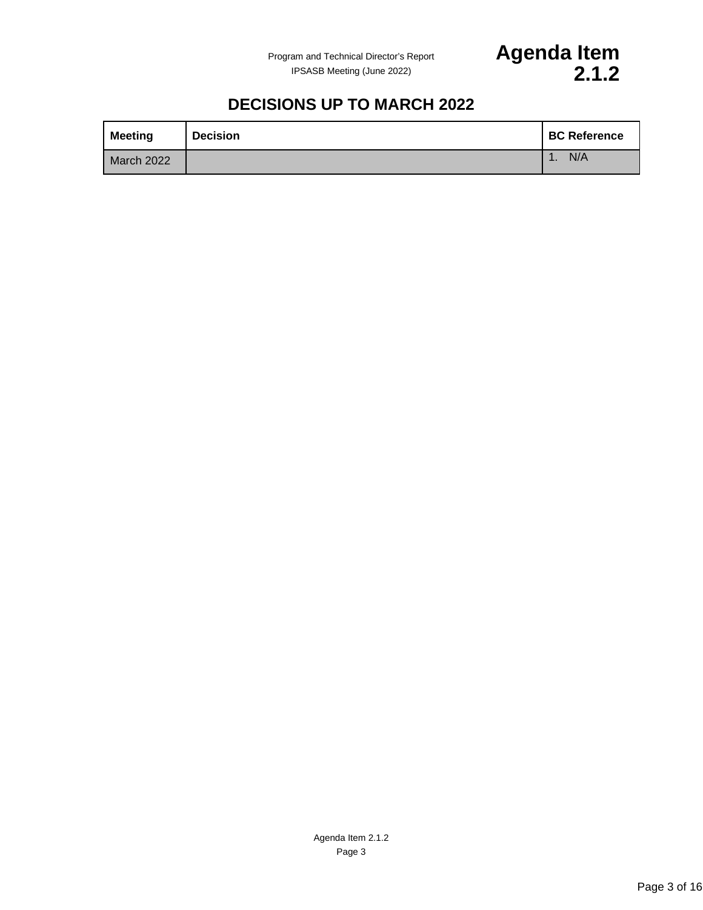

## **DECISIONS UP TO MARCH 2022**

<span id="page-2-0"></span>

| <b>Meeting</b>    | <b>Decision</b> | <b>BC Reference</b> |
|-------------------|-----------------|---------------------|
| <b>March 2022</b> |                 | N/A                 |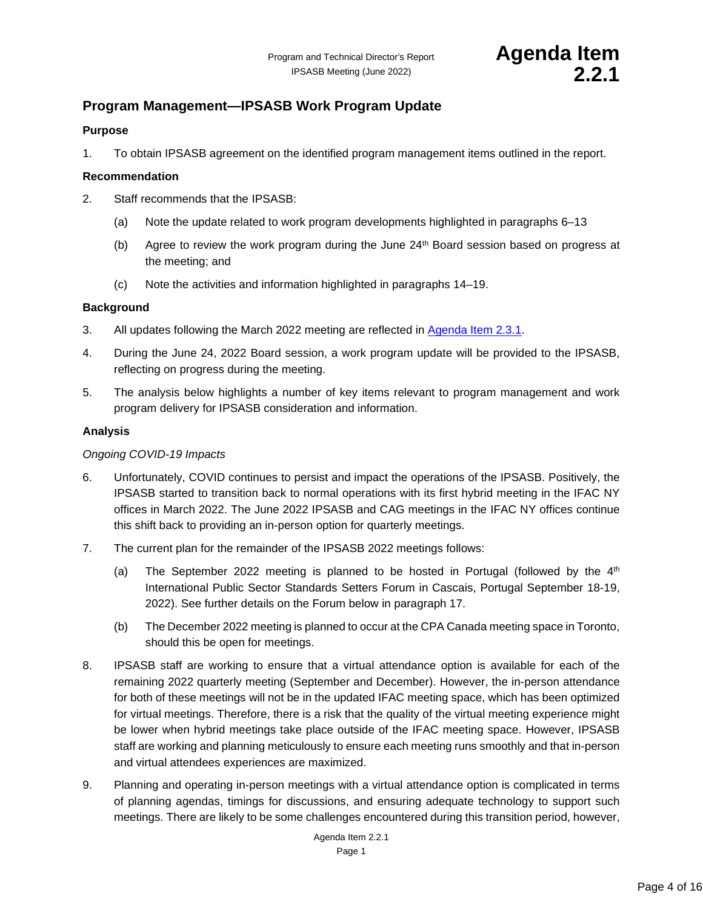## <span id="page-3-0"></span>**Program Management—IPSASB Work Program Update**

### **Purpose**

1. To obtain IPSASB agreement on the identified program management items outlined in the report.

#### **Recommendation**

- 2. Staff recommends that the IPSASB:
	- (a) Note the update related to work program developments highlighted in paragraphs 6–13
	- (b) Agree to review the work program during the June 24th Board session based on progress at the meeting; and
	- (c) Note the activities and information highlighted in paragraphs 14–19.

#### **Background**

- 3. All updates following the March 2022 meeting are reflected in [Agenda Item 2.3.1.](#page-15-0)
- 4. During the June 24, 2022 Board session, a work program update will be provided to the IPSASB, reflecting on progress during the meeting.
- 5. The analysis below highlights a number of key items relevant to program management and work program delivery for IPSASB consideration and information.

#### **Analysis**

#### *Ongoing COVID-19 Impacts*

- 6. Unfortunately, COVID continues to persist and impact the operations of the IPSASB. Positively, the IPSASB started to transition back to normal operations with its first hybrid meeting in the IFAC NY offices in March 2022. The June 2022 IPSASB and CAG meetings in the IFAC NY offices continue this shift back to providing an in-person option for quarterly meetings.
- 7. The current plan for the remainder of the IPSASB 2022 meetings follows:
	- (a) The September 2022 meeting is planned to be hosted in Portugal (followed by the  $4<sup>th</sup>$ International Public Sector Standards Setters Forum in Cascais, Portugal September 18-19, 2022). See further details on the Forum below in paragraph 17.
	- (b) The December 2022 meeting is planned to occur at the CPA Canada meeting space in Toronto, should this be open for meetings.
- 8. IPSASB staff are working to ensure that a virtual attendance option is available for each of the remaining 2022 quarterly meeting (September and December). However, the in-person attendance for both of these meetings will not be in the updated IFAC meeting space, which has been optimized for virtual meetings. Therefore, there is a risk that the quality of the virtual meeting experience might be lower when hybrid meetings take place outside of the IFAC meeting space. However, IPSASB staff are working and planning meticulously to ensure each meeting runs smoothly and that in-person and virtual attendees experiences are maximized.
- 9. Planning and operating in-person meetings with a virtual attendance option is complicated in terms of planning agendas, timings for discussions, and ensuring adequate technology to support such meetings. There are likely to be some challenges encountered during this transition period, however,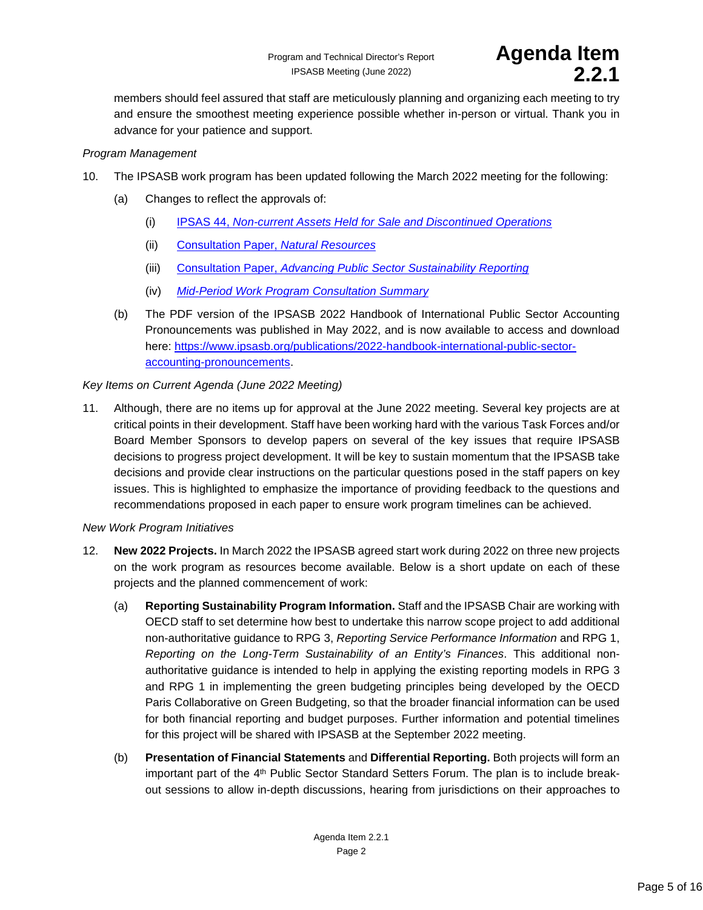

members should feel assured that staff are meticulously planning and organizing each meeting to try and ensure the smoothest meeting experience possible whether in-person or virtual. Thank you in advance for your patience and support.

#### *Program Management*

- 10. The IPSASB work program has been updated following the March 2022 meeting for the following:
	- (a) Changes to reflect the approvals of:
		- (i) IPSAS 44, *[Non-current Assets Held for Sale and Discontinued Operations](https://www.ipsasb.org/publications/ipsas-44-non-current-assets-held-sale-and-discontinued-operations)*
		- (ii) [Consultation Paper,](https://www.ipsasb.org/publications/consultation-paper-natural-resources) *Natural Resources*
		- (iii) Consultation Paper, *[Advancing Public Sector Sustainability Reporting](https://www.ipsasb.org/publications/consultation-paper-advancing-public-sector-sustainability-reporting)*
		- (iv) *[Mid-Period Work Program Consultation Summary](https://www.ipsasb.org/publications/mid-period-work-program-consultation-summary)*
	- (b) The PDF version of the IPSASB 2022 Handbook of International Public Sector Accounting Pronouncements was published in May 2022, and is now available to access and download here: [https://www.ipsasb.org/publications/2022-handbook-international-public-sector](https://www.ipsasb.org/publications/2022-handbook-international-public-sector-accounting-pronouncements)[accounting-pronouncements.](https://www.ipsasb.org/publications/2022-handbook-international-public-sector-accounting-pronouncements)

#### *Key Items on Current Agenda (June 2022 Meeting)*

11. Although, there are no items up for approval at the June 2022 meeting. Several key projects are at critical points in their development. Staff have been working hard with the various Task Forces and/or Board Member Sponsors to develop papers on several of the key issues that require IPSASB decisions to progress project development. It will be key to sustain momentum that the IPSASB take decisions and provide clear instructions on the particular questions posed in the staff papers on key issues. This is highlighted to emphasize the importance of providing feedback to the questions and recommendations proposed in each paper to ensure work program timelines can be achieved.

#### *New Work Program Initiatives*

- 12. **New 2022 Projects.** In March 2022 the IPSASB agreed start work during 2022 on three new projects on the work program as resources become available. Below is a short update on each of these projects and the planned commencement of work:
	- (a) **Reporting Sustainability Program Information.** Staff and the IPSASB Chair are working with OECD staff to set determine how best to undertake this narrow scope project to add additional non-authoritative guidance to RPG 3, *Reporting Service Performance Information* and RPG 1, *Reporting on the Long-Term Sustainability of an Entity's Finances*. This additional nonauthoritative guidance is intended to help in applying the existing reporting models in RPG 3 and RPG 1 in implementing the green budgeting principles being developed by the OECD Paris Collaborative on Green Budgeting, so that the broader financial information can be used for both financial reporting and budget purposes. Further information and potential timelines for this project will be shared with IPSASB at the September 2022 meeting.
	- (b) **Presentation of Financial Statements** and **Differential Reporting.** Both projects will form an important part of the 4<sup>th</sup> Public Sector Standard Setters Forum. The plan is to include breakout sessions to allow in-depth discussions, hearing from jurisdictions on their approaches to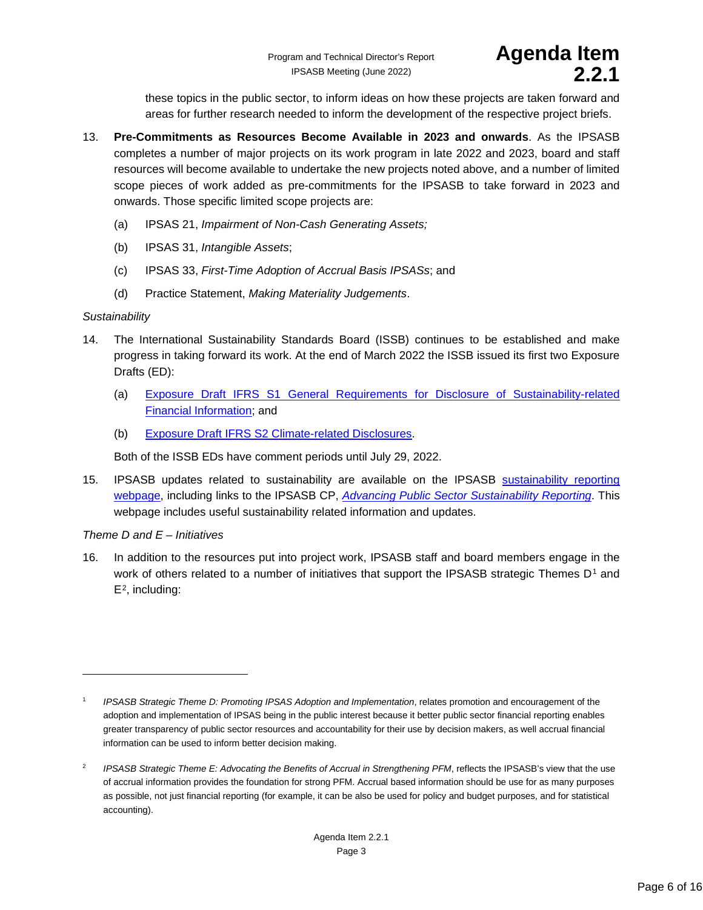these topics in the public sector, to inform ideas on how these projects are taken forward and areas for further research needed to inform the development of the respective project briefs.

- 13. **Pre-Commitments as Resources Become Available in 2023 and onwards**. As the IPSASB completes a number of major projects on its work program in late 2022 and 2023, board and staff resources will become available to undertake the new projects noted above, and a number of limited scope pieces of work added as pre-commitments for the IPSASB to take forward in 2023 and onwards. Those specific limited scope projects are:
	- (a) IPSAS 21, *Impairment of Non-Cash Generating Assets;*
	- (b) IPSAS 31, *Intangible Assets*;
	- (c) IPSAS 33, *First-Time Adoption of Accrual Basis IPSASs*; and
	- (d) Practice Statement, *Making Materiality Judgements*.

#### *Sustainability*

- 14. The International Sustainability Standards Board (ISSB) continues to be established and make progress in taking forward its work. At the end of March 2022 the ISSB issued its first two Exposure Drafts (ED):
	- (a) [Exposure Draft IFRS S1 General Requirements for Disclosure of Sustainability-related](https://www.ifrs.org/content/dam/ifrs/project/general-sustainability-related-disclosures/exposure-draft-ifrs-s1-general-requirements-for-disclosure-of-sustainability-related-financial-information.pdf)  [Financial Information;](https://www.ifrs.org/content/dam/ifrs/project/general-sustainability-related-disclosures/exposure-draft-ifrs-s1-general-requirements-for-disclosure-of-sustainability-related-financial-information.pdf) and
	- (b) [Exposure Draft IFRS S2 Climate-related Disclosures.](https://www.ifrs.org/content/dam/ifrs/project/climate-related-disclosures/issb-exposure-draft-2022-2-climate-related-disclosures.pdf)

Both of the ISSB EDs have comment periods until July 29, 2022.

15. IPSASB updates related to sustainability are available on the IPSASB [sustainability reporting](https://www.ipsasb.org/focus-areas/sustainability-reporting)  [webpage,](https://www.ipsasb.org/focus-areas/sustainability-reporting) including links to the IPSASB CP, *[Advancing Public Sector Sustainability Reporting](https://www.ipsasb.org/publications/consultation-paper-advancing-public-sector-sustainability-reporting)*. This webpage includes useful sustainability related information and updates.

#### *Theme D and E – Initiatives*

16. In addition to the resources put into project work, IPSASB staff and board members engage in the work of others related to a number of initiatives that support the IPSASB strategic Themes D<sup>[1](#page-5-0)</sup> and  $E<sup>2</sup>$  $E<sup>2</sup>$  $E<sup>2</sup>$ , including:

<span id="page-5-0"></span><sup>1</sup> *IPSASB Strategic Theme D: Promoting IPSAS Adoption and Implementation*, relates promotion and encouragement of the adoption and implementation of IPSAS being in the public interest because it better public sector financial reporting enables greater transparency of public sector resources and accountability for their use by decision makers, as well accrual financial information can be used to inform better decision making.

<span id="page-5-1"></span><sup>&</sup>lt;sup>2</sup> *IPSASB Strategic Theme E: Advocating the Benefits of Accrual in Strengthening PFM*, reflects the IPSASB's view that the use of accrual information provides the foundation for strong PFM. Accrual based information should be use for as many purposes as possible, not just financial reporting (for example, it can be also be used for policy and budget purposes, and for statistical accounting).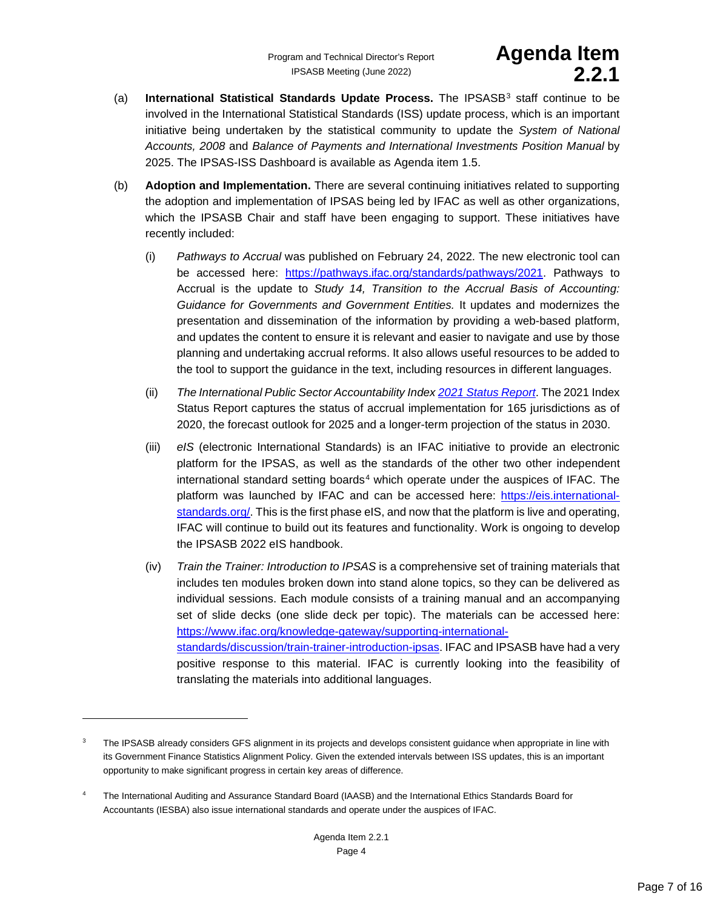- (a) **International Statistical Standards Update Process.** The IPSASB[3](#page-6-0) staff continue to be involved in the International Statistical Standards (ISS) update process, which is an important initiative being undertaken by the statistical community to update the *System of National Accounts, 2008* and *Balance of Payments and International Investments Position Manual* by 2025. The IPSAS-ISS Dashboard is available as Agenda item 1.5.
- (b) **Adoption and Implementation.** There are several continuing initiatives related to supporting the adoption and implementation of IPSAS being led by IFAC as well as other organizations, which the IPSASB Chair and staff have been engaging to support. These initiatives have recently included:
	- (i) *Pathways to Accrual* was published on February 24, 2022. The new electronic tool can be accessed here: [https://pathways.ifac.org/standards/pathways/2021.](https://pathways.ifac.org/standards/pathways/2021) Pathways to Accrual is the update to *Study 14, Transition to the Accrual Basis of Accounting: Guidance for Governments and Government Entities.* It updates and modernizes the presentation and dissemination of the information by providing a web-based platform, and updates the content to ensure it is relevant and easier to navigate and use by those planning and undertaking accrual reforms. It also allows useful resources to be added to the tool to support the guidance in the text, including resources in different languages.
	- (ii) *The International Public Sector Accountability Index [2021 Status Report](https://www.ifac.org/knowledge-gateway/supporting-international-standards/discussion/international-public-sector-financial-accountability-index-2020)*. The 2021 Index Status Report captures the status of accrual implementation for 165 jurisdictions as of 2020, the forecast outlook for 2025 and a longer-term projection of the status in 2030.
	- (iii) *eIS* (electronic International Standards) is an IFAC initiative to provide an electronic platform for the IPSAS, as well as the standards of the other two other independent international standard setting boards $4$  which operate under the auspices of IFAC. The platform was launched by IFAC and can be accessed here: [https://eis.international](https://eis.international-standards.org/)[standards.org/.](https://eis.international-standards.org/) This is the first phase eIS, and now that the platform is live and operating, IFAC will continue to build out its features and functionality. Work is ongoing to develop the IPSASB 2022 eIS handbook.
	- (iv) *Train the Trainer: Introduction to IPSAS* is a comprehensive set of training materials that includes ten modules broken down into stand alone topics, so they can be delivered as individual sessions. Each module consists of a training manual and an accompanying set of slide decks (one slide deck per topic). The materials can be accessed here: [https://www.ifac.org/knowledge-gateway/supporting-international](https://www.ifac.org/knowledge-gateway/supporting-international-standards/discussion/train-trainer-introduction-ipsas)[standards/discussion/train-trainer-introduction-ipsas.](https://www.ifac.org/knowledge-gateway/supporting-international-standards/discussion/train-trainer-introduction-ipsas) IFAC and IPSASB have had a very positive response to this material. IFAC is currently looking into the feasibility of translating the materials into additional languages.

<span id="page-6-0"></span><sup>&</sup>lt;sup>3</sup> The IPSASB already considers GFS alignment in its projects and develops consistent guidance when appropriate in line with its Government Finance Statistics Alignment Policy. Given the extended intervals between ISS updates, this is an important opportunity to make significant progress in certain key areas of difference.

<span id="page-6-1"></span><sup>&</sup>lt;sup>4</sup> The International Auditing and Assurance Standard Board (IAASB) and the International Ethics Standards Board for Accountants (IESBA) also issue international standards and operate under the auspices of IFAC.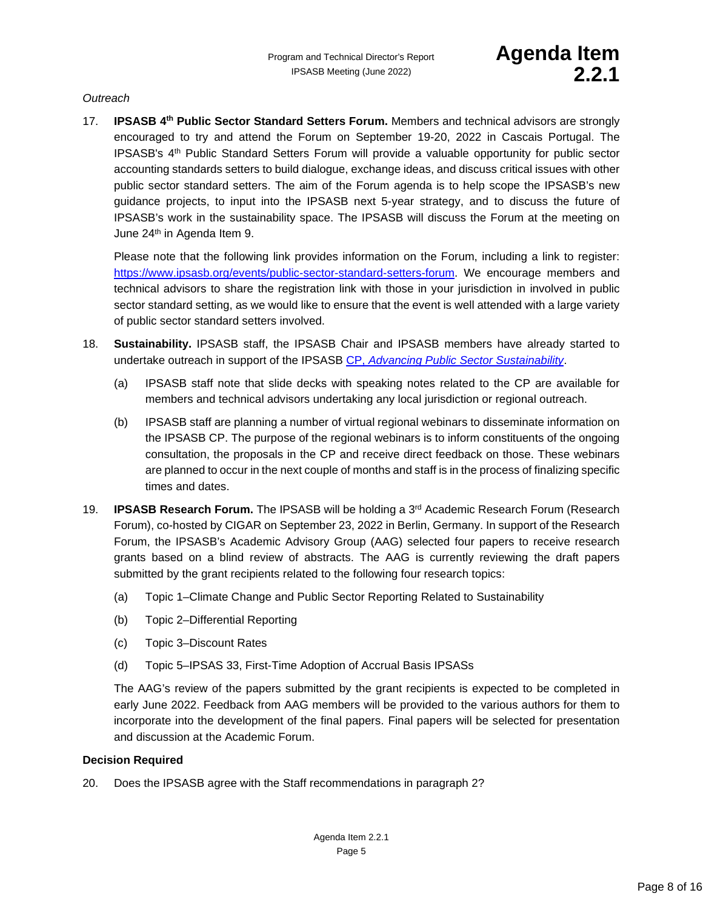#### *Outreach*

17. **IPSASB 4th Public Sector Standard Setters Forum.** Members and technical advisors are strongly encouraged to try and attend the Forum on September 19-20, 2022 in Cascais Portugal. The IPSASB's 4th Public Standard Setters Forum will provide a valuable opportunity for public sector accounting standards setters to build dialogue, exchange ideas, and discuss critical issues with other public sector standard setters. The aim of the Forum agenda is to help scope the IPSASB's new guidance projects, to input into the IPSASB next 5-year strategy, and to discuss the future of IPSASB's work in the sustainability space. The IPSASB will discuss the Forum at the meeting on June 24<sup>th</sup> in Agenda Item 9.

Please note that the following link provides information on the Forum, including a link to register: [https://www.ipsasb.org/events/public-sector-standard-setters-forum.](https://www.ipsasb.org/events/public-sector-standard-setters-forum) We encourage members and technical advisors to share the registration link with those in your jurisdiction in involved in public sector standard setting, as we would like to ensure that the event is well attended with a large variety of public sector standard setters involved.

- 18. **Sustainability.** IPSASB staff, the IPSASB Chair and IPSASB members have already started to undertake outreach in support of the IPSASB CP, *[Advancing Public Sector Sustainability](https://www.ipsasb.org/news-events/2022-05/advancing-public-sector-sustainability-reporting-ipsasb-launches-global-consultation)*.
	- (a) IPSASB staff note that slide decks with speaking notes related to the CP are available for members and technical advisors undertaking any local jurisdiction or regional outreach.
	- (b) IPSASB staff are planning a number of virtual regional webinars to disseminate information on the IPSASB CP. The purpose of the regional webinars is to inform constituents of the ongoing consultation, the proposals in the CP and receive direct feedback on those. These webinars are planned to occur in the next couple of months and staff is in the process of finalizing specific times and dates.
- 19. **IPSASB Research Forum.** The IPSASB will be holding a 3rd Academic Research Forum (Research Forum), co-hosted by CIGAR on September 23, 2022 in Berlin, Germany. In support of the Research Forum, the IPSASB's Academic Advisory Group (AAG) selected four papers to receive research grants based on a blind review of abstracts. The AAG is currently reviewing the draft papers submitted by the grant recipients related to the following four research topics:
	- (a) Topic 1–Climate Change and Public Sector Reporting Related to Sustainability
	- (b) Topic 2–Differential Reporting
	- (c) Topic 3–Discount Rates
	- (d) Topic 5–IPSAS 33, First-Time Adoption of Accrual Basis IPSASs

The AAG's review of the papers submitted by the grant recipients is expected to be completed in early June 2022. Feedback from AAG members will be provided to the various authors for them to incorporate into the development of the final papers. Final papers will be selected for presentation and discussion at the Academic Forum.

#### **Decision Required**

20. Does the IPSASB agree with the Staff recommendations in paragraph 2?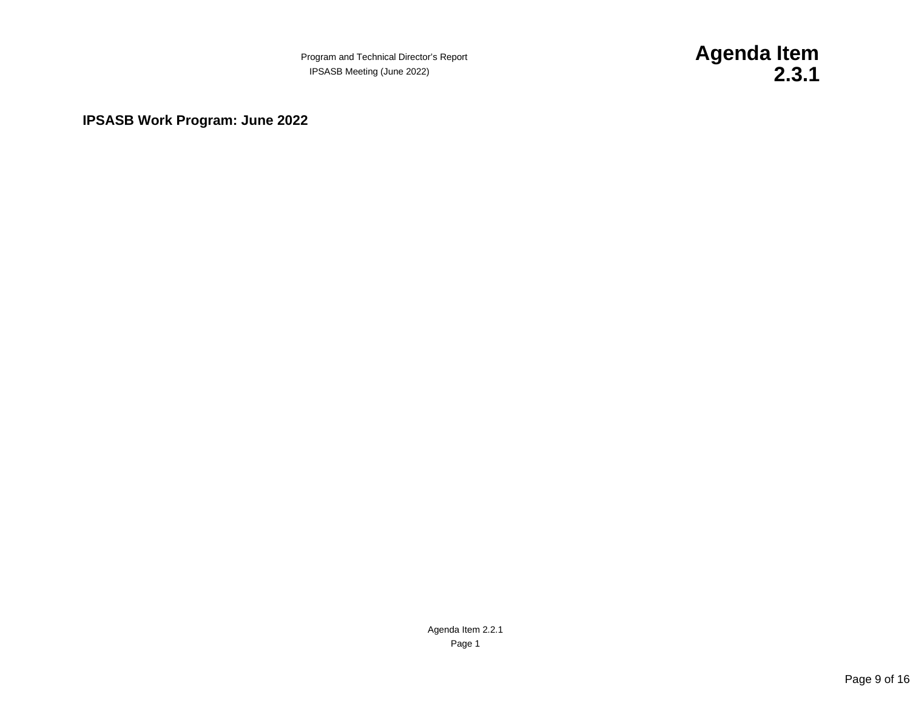Program and Technical Director's Report **Agenda Item** 

IPSASB Meeting (June 2022) **2.3.1**

<span id="page-8-0"></span>**IPSASB Work Program: June 2022**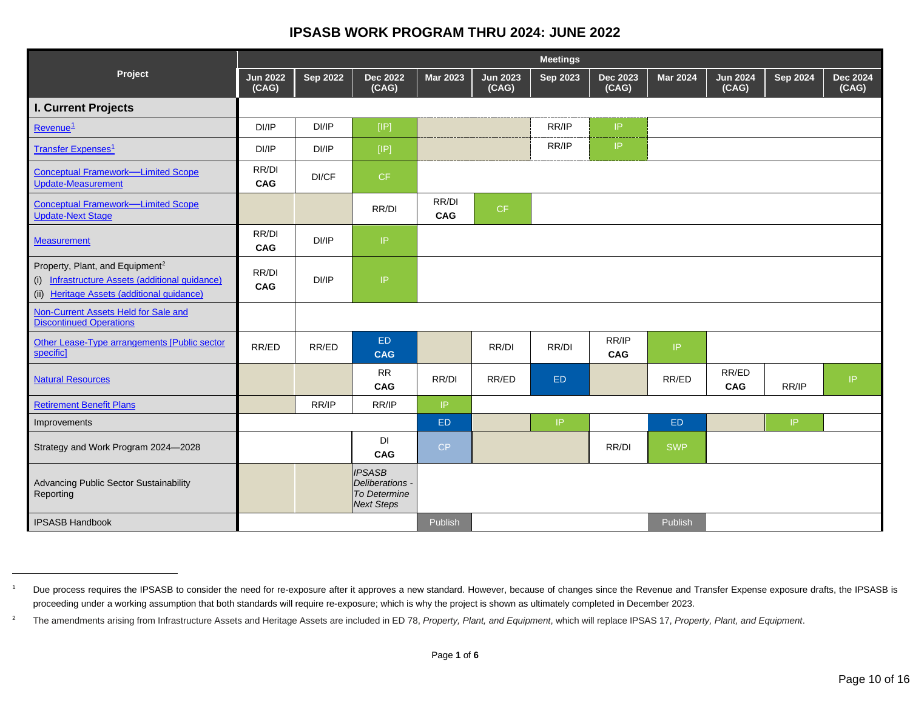### <span id="page-9-1"></span><span id="page-9-0"></span>**IPSASB WORK PROGRAM THRU 2024: JUNE 2022**

|                                                                                                                                              | <b>Meetings</b>          |                 |                                                                       |                                   |                          |                 |                          |                 |                          |                 |                          |
|----------------------------------------------------------------------------------------------------------------------------------------------|--------------------------|-----------------|-----------------------------------------------------------------------|-----------------------------------|--------------------------|-----------------|--------------------------|-----------------|--------------------------|-----------------|--------------------------|
| Project                                                                                                                                      | <b>Jun 2022</b><br>(CAG) | <b>Sep 2022</b> | <b>Dec 2022</b><br>(CAG)                                              | <b>Mar 2023</b>                   | <b>Jun 2023</b><br>(CAG) | <b>Sep 2023</b> | <b>Dec 2023</b><br>(CAG) | <b>Mar 2024</b> | <b>Jun 2024</b><br>(CAG) | <b>Sep 2024</b> | <b>Dec 2024</b><br>(CAG) |
| I. Current Projects                                                                                                                          |                          |                 |                                                                       |                                   |                          |                 |                          |                 |                          |                 |                          |
| Revenue <sup>1</sup>                                                                                                                         | DI/IP                    | DI/IP           | [IP]                                                                  |                                   |                          | RR/IP           | IP.                      |                 |                          |                 |                          |
| <b>Transfer Expenses<sup>1</sup></b>                                                                                                         | DI/IP                    | DI/IP           | $[IP]$                                                                |                                   |                          | RR/IP           | IP.                      |                 |                          |                 |                          |
| <b>Conceptual Framework-Limited Scope</b><br><b>Update-Measurement</b>                                                                       | RR/DI<br>CAG             | DI/CF           | CF                                                                    |                                   |                          |                 |                          |                 |                          |                 |                          |
| <b>Conceptual Framework-Limited Scope</b><br><b>Update-Next Stage</b>                                                                        |                          |                 | RR/DI                                                                 | RR/DI<br><b>CAG</b>               | CF.                      |                 |                          |                 |                          |                 |                          |
| <b>Measurement</b>                                                                                                                           | RR/DI<br>CAG             | DI/IP           | $\ensuremath{\mathsf{IP}}$                                            |                                   |                          |                 |                          |                 |                          |                 |                          |
| Property, Plant, and Equipment <sup>2</sup><br>(i) Infrastructure Assets (additional guidance)<br>(ii) Heritage Assets (additional guidance) | RR/DI<br>CAG             | DI/IP           | $\ensuremath{\mathsf{IP}}\xspace$                                     |                                   |                          |                 |                          |                 |                          |                 |                          |
| Non-Current Assets Held for Sale and<br><b>Discontinued Operations</b>                                                                       |                          |                 |                                                                       |                                   |                          |                 |                          |                 |                          |                 |                          |
| Other Lease-Type arrangements [Public sector<br>specific]                                                                                    | RR/ED                    | RR/ED           | ED<br><b>CAG</b>                                                      |                                   | RR/DI                    | RR/DI           | RR/IP<br><b>CAG</b>      | IP.             |                          |                 |                          |
| <b>Natural Resources</b>                                                                                                                     |                          |                 | <b>RR</b><br><b>CAG</b>                                               | RR/DI                             | RR/ED                    | ED.             |                          | RR/ED           | RR/ED<br><b>CAG</b>      | RR/IP           | IP.                      |
| <b>Retirement Benefit Plans</b>                                                                                                              |                          | RR/IP           | RR/IP                                                                 | $\ensuremath{\mathsf{IP}}\xspace$ |                          |                 |                          |                 |                          |                 |                          |
| Improvements                                                                                                                                 |                          |                 |                                                                       | ED.                               |                          | IP.             |                          | ED.             |                          | IP.             |                          |
| Strategy and Work Program 2024-2028                                                                                                          |                          |                 | DI<br><b>CAG</b>                                                      | CP                                |                          |                 | RR/DI                    | <b>SWP</b>      |                          |                 |                          |
| Advancing Public Sector Sustainability<br>Reporting                                                                                          |                          |                 | <b>IPSASB</b><br>Deliberations -<br>To Determine<br><b>Next Steps</b> |                                   |                          |                 |                          |                 |                          |                 |                          |
| <b>IPSASB Handbook</b>                                                                                                                       |                          |                 |                                                                       | Publish                           |                          |                 |                          | Publish         |                          |                 |                          |

<sup>&</sup>lt;sup>1</sup> Due process requires the IPSASB to consider the need for re-exposure after it approves a new standard. However, because of changes since the Revenue and Transfer Expense exposure drafts, the IPSASB is proceeding under a working assumption that both standards will require re-exposure; which is why the project is shown as ultimately completed in December 2023.

<sup>&</sup>lt;sup>2</sup> The amendments arising from Infrastructure Assets and Heritage Assets are included in ED 78, *Property, Plant, and Equipment*, which will replace IPSAS 17, *Property, Plant, and Equipment*.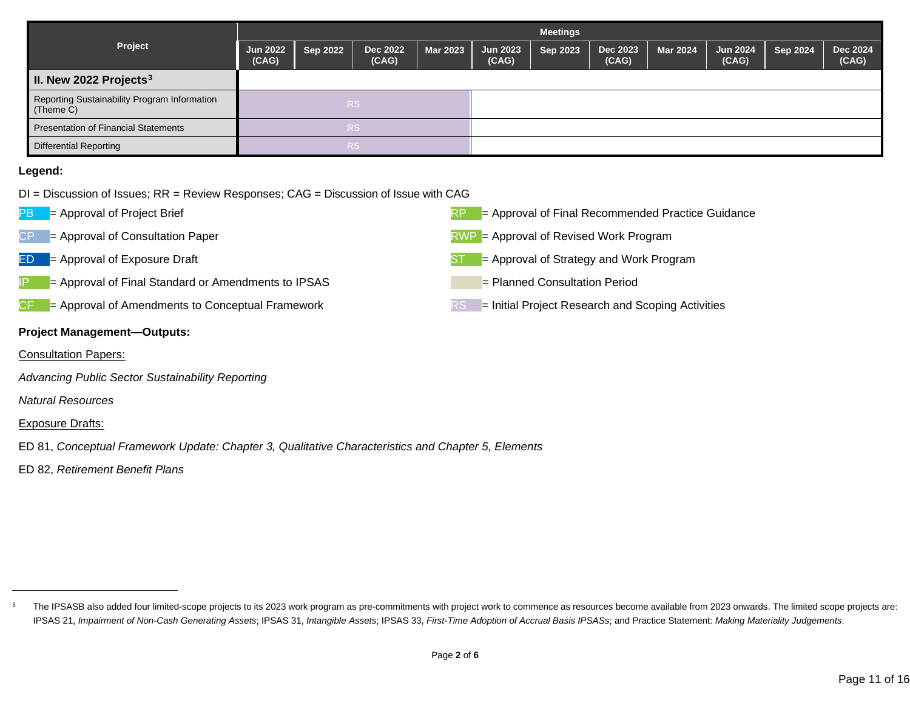<span id="page-10-0"></span>

|                                                            | <b>Meetings</b>          |                 |                          |                 |                          |                 |                   |                 |                          |          |                   |
|------------------------------------------------------------|--------------------------|-----------------|--------------------------|-----------------|--------------------------|-----------------|-------------------|-----------------|--------------------------|----------|-------------------|
| Project                                                    | <b>Jun 2022</b><br>(CAG) | <b>Sep 2022</b> | <b>Dec 2022</b><br>(CAG) | <b>Mar 2023</b> | <b>Jun 2023</b><br>(CAG) | <b>Sep 2023</b> | Dec 2023<br>(CAG) | <b>Mar 2024</b> | <b>Jun 2024</b><br>(CAG) | Sep 2024 | Dec 2024<br>(CAG) |
| II. New 2022 Projects $3$                                  |                          |                 |                          |                 |                          |                 |                   |                 |                          |          |                   |
| Reporting Sustainability Program Information<br>$(Then C)$ |                          |                 | RS.                      |                 |                          |                 |                   |                 |                          |          |                   |
| Presentation of Financial Statements                       |                          |                 | RS.                      |                 |                          |                 |                   |                 |                          |          |                   |
| <b>Differential Reporting</b>                              |                          |                 | R <sub>S</sub>           |                 |                          |                 |                   |                 |                          |          |                   |

#### **Legend:**

- DI = Discussion of Issues; RR = Review Responses; CAG = Discussion of Issue with CAG
- 
- 
- 
- = Approval of Final Standard or Amendments to IPSAS = Planned Consultation Period
- $CF$  = Approval of Amendments to Conceptual Framework  $RST$  = Initial Project Research and Scoping Activities

#### **Project Management—Outputs:**

- Consultation Papers:
- *Advancing Public Sector Sustainability Reporting*
- *Natural Resources*

#### Exposure Drafts:

- ED 81, *Conceptual Framework Update: Chapter 3, Qualitative Characteristics and Chapter 5, Elements*
- ED 82, *Retirement Benefit Plans*





- $CP =$  Approval of Consultation Paper  $RWP =$  Approval of Revised Work Program
- $ED =$  Approval of Exposure Draft ST  $ST =$  Approval of Strategy and Work Program
	-
	-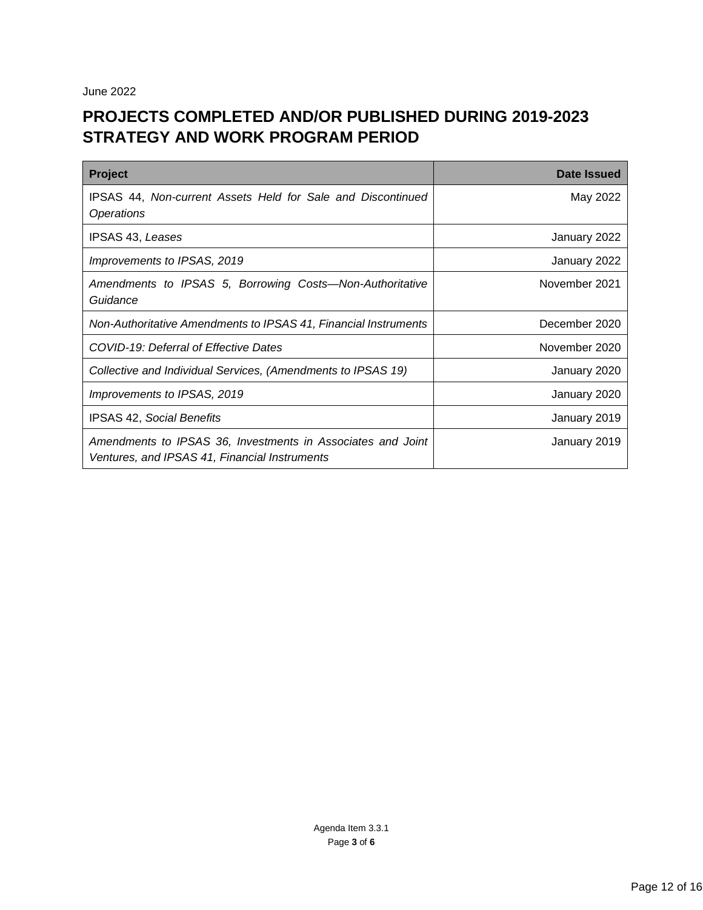June 2022

## **PROJECTS COMPLETED AND/OR PUBLISHED DURING 2019-2023 STRATEGY AND WORK PROGRAM PERIOD**

| Project                                                                                                      | Date Issued   |
|--------------------------------------------------------------------------------------------------------------|---------------|
| IPSAS 44, Non-current Assets Held for Sale and Discontinued<br><i><b>Operations</b></i>                      | May 2022      |
| <b>IPSAS 43, Leases</b>                                                                                      | January 2022  |
| Improvements to IPSAS, 2019                                                                                  | January 2022  |
| Amendments to IPSAS 5, Borrowing Costs-Non-Authoritative<br>Guidance                                         | November 2021 |
| Non-Authoritative Amendments to IPSAS 41, Financial Instruments                                              | December 2020 |
| COVID-19: Deferral of Effective Dates                                                                        | November 2020 |
| Collective and Individual Services, (Amendments to IPSAS 19)                                                 | January 2020  |
| Improvements to IPSAS, 2019                                                                                  | January 2020  |
| <b>IPSAS 42, Social Benefits</b>                                                                             | January 2019  |
| Amendments to IPSAS 36, Investments in Associates and Joint<br>Ventures, and IPSAS 41, Financial Instruments | January 2019  |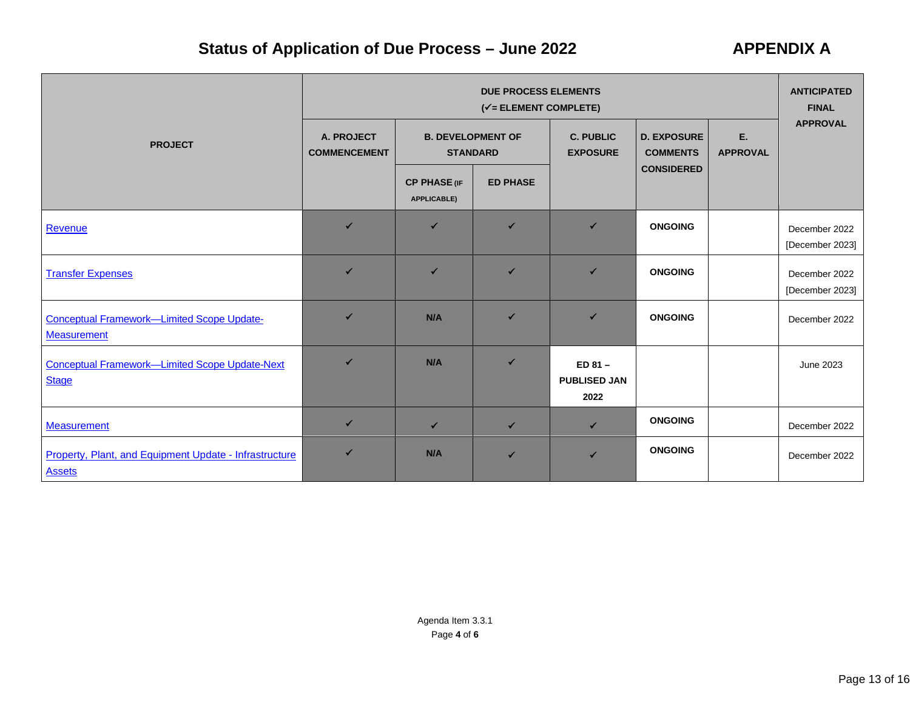# **Status of Application of Due Process – June 2022 APPENDIX A**

|                                                                         | <b>DUE PROCESS ELEMENTS</b><br>$(\checkmark)$ = ELEMENT COMPLETE)                |                                           |                 |                                          |                                                                |  |                                  |  |
|-------------------------------------------------------------------------|----------------------------------------------------------------------------------|-------------------------------------------|-----------------|------------------------------------------|----------------------------------------------------------------|--|----------------------------------|--|
| <b>PROJECT</b>                                                          | A. PROJECT<br><b>B. DEVELOPMENT OF</b><br><b>STANDARD</b><br><b>COMMENCEMENT</b> |                                           |                 | <b>C. PUBLIC</b><br><b>EXPOSURE</b>      | Ε.<br><b>D. EXPOSURE</b><br><b>COMMENTS</b><br><b>APPROVAL</b> |  | <b>APPROVAL</b>                  |  |
|                                                                         |                                                                                  | <b>CP PHASE (IF</b><br><b>APPLICABLE)</b> | <b>ED PHASE</b> |                                          | <b>CONSIDERED</b>                                              |  |                                  |  |
| Revenue                                                                 | $\checkmark$                                                                     | ✔                                         | $\checkmark$    | $\checkmark$                             | <b>ONGOING</b>                                                 |  | December 2022<br>[December 2023] |  |
| <b>Transfer Expenses</b>                                                | ✓                                                                                | ✔                                         | $\checkmark$    | $\checkmark$                             | <b>ONGOING</b>                                                 |  | December 2022<br>[December 2023] |  |
| <b>Conceptual Framework-Limited Scope Update-</b><br><b>Measurement</b> | ✔                                                                                | N/A                                       | ✔               | $\checkmark$                             | <b>ONGOING</b>                                                 |  | December 2022                    |  |
| Conceptual Framework-Limited Scope Update-Next<br><b>Stage</b>          | ✓                                                                                | N/A                                       | ✔               | $ED 81 -$<br><b>PUBLISED JAN</b><br>2022 |                                                                |  | June 2023                        |  |
| <b>Measurement</b>                                                      | $\checkmark$                                                                     | $\checkmark$                              | $\checkmark$    | $\checkmark$                             | <b>ONGOING</b>                                                 |  | December 2022                    |  |
| Property, Plant, and Equipment Update - Infrastructure<br><b>Assets</b> | ✔                                                                                | N/A                                       | ✔               | $\checkmark$                             | <b>ONGOING</b>                                                 |  | December 2022                    |  |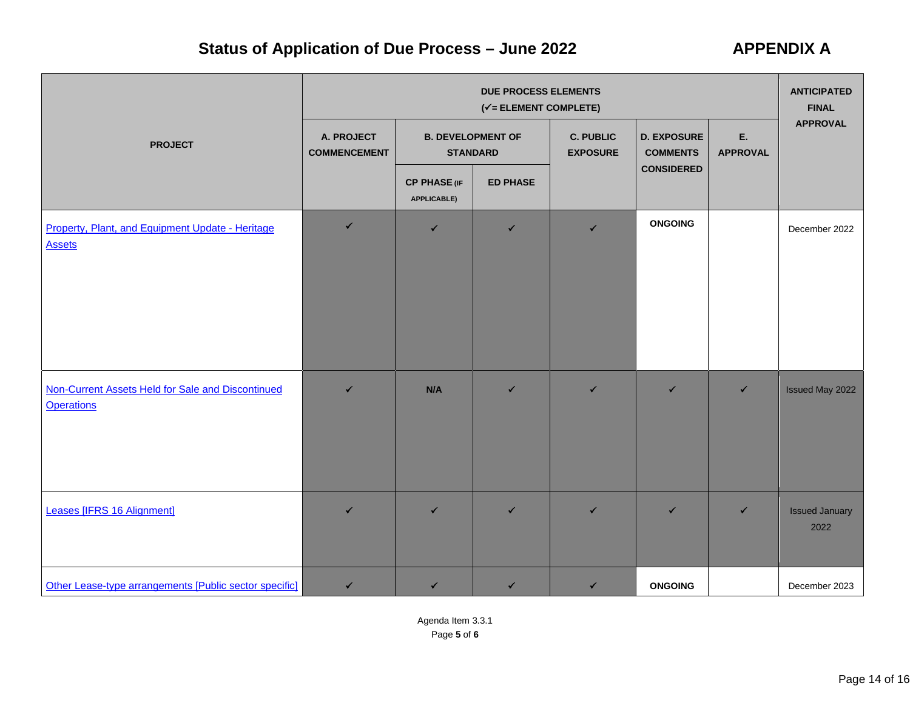# **Status of Application of Due Process – June 2022 APPENDIX A**

|                |                                                                        |                                   | <b>ANTICIPATED</b><br><b>FINAL</b>        |                                             |                                     |                                       |                       |                               |  |
|----------------|------------------------------------------------------------------------|-----------------------------------|-------------------------------------------|---------------------------------------------|-------------------------------------|---------------------------------------|-----------------------|-------------------------------|--|
| <b>PROJECT</b> |                                                                        | A. PROJECT<br><b>COMMENCEMENT</b> |                                           | <b>B. DEVELOPMENT OF</b><br><b>STANDARD</b> | <b>C. PUBLIC</b><br><b>EXPOSURE</b> | <b>D. EXPOSURE</b><br><b>COMMENTS</b> | E.<br><b>APPROVAL</b> | <b>APPROVAL</b>               |  |
|                |                                                                        |                                   | <b>CP PHASE (IF</b><br><b>APPLICABLE)</b> | <b>ED PHASE</b>                             |                                     | <b>CONSIDERED</b>                     |                       |                               |  |
|                | Property, Plant, and Equipment Update - Heritage<br><b>Assets</b>      | $\checkmark$                      | ✔                                         | $\checkmark$                                | $\checkmark$                        | <b>ONGOING</b>                        |                       | December 2022                 |  |
|                | Non-Current Assets Held for Sale and Discontinued<br><b>Operations</b> | $\checkmark$                      | N/A                                       | $\checkmark$                                | $\checkmark$                        | $\checkmark$                          | $\checkmark$          | Issued May 2022               |  |
|                | Leases [IFRS 16 Alignment]                                             | ✔                                 | $\checkmark$                              | $\checkmark$                                | $\checkmark$                        | $\checkmark$                          | ✔                     | <b>Issued January</b><br>2022 |  |
|                | Other Lease-type arrangements [Public sector specific]                 | $\checkmark$                      | $\checkmark$                              | $\checkmark$                                | $\checkmark$                        | <b>ONGOING</b>                        |                       | December 2023                 |  |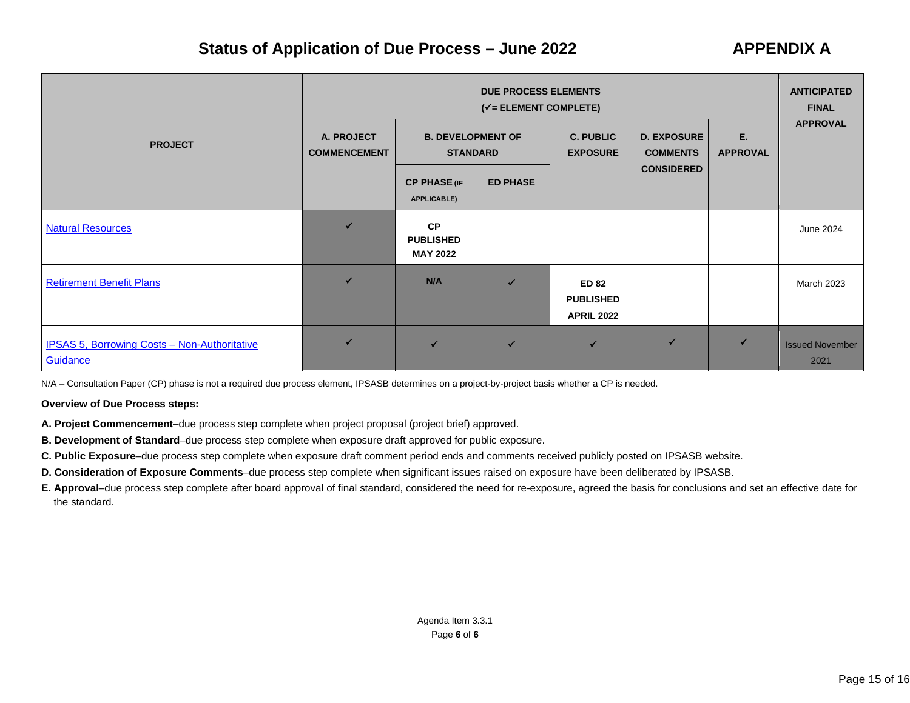## **Status of Application of Due Process – June 2022 APPENDIX A**

|                                                                 | <b>DUE PROCESS ELEMENTS</b><br>$(\checkmark)$ = ELEMENT COMPLETE) |                                                  |                                             |                                                       |                                       |                       |                                |  |
|-----------------------------------------------------------------|-------------------------------------------------------------------|--------------------------------------------------|---------------------------------------------|-------------------------------------------------------|---------------------------------------|-----------------------|--------------------------------|--|
| <b>PROJECT</b>                                                  | A. PROJECT<br><b>COMMENCEMENT</b>                                 |                                                  | <b>B. DEVELOPMENT OF</b><br><b>STANDARD</b> | <b>C. PUBLIC</b><br><b>EXPOSURE</b>                   | <b>D. EXPOSURE</b><br><b>COMMENTS</b> | Ε.<br><b>APPROVAL</b> | <b>APPROVAL</b>                |  |
|                                                                 |                                                                   | <b>CP PHASE (IF</b><br><b>APPLICABLE)</b>        | <b>ED PHASE</b>                             |                                                       | <b>CONSIDERED</b>                     |                       |                                |  |
| <b>Natural Resources</b>                                        |                                                                   | <b>CP</b><br><b>PUBLISHED</b><br><b>MAY 2022</b> |                                             |                                                       |                                       |                       | June 2024                      |  |
| <b>Retirement Benefit Plans</b>                                 | ✓                                                                 | N/A                                              | $\checkmark$                                | <b>ED 82</b><br><b>PUBLISHED</b><br><b>APRIL 2022</b> |                                       |                       | <b>March 2023</b>              |  |
| <b>IPSAS 5, Borrowing Costs - Non-Authoritative</b><br>Guidance |                                                                   | $\overline{\mathbf{v}}$                          | $\checkmark$                                | $\checkmark$                                          | $\checkmark$                          |                       | <b>Issued November</b><br>2021 |  |

N/A – Consultation Paper (CP) phase is not a required due process element, IPSASB determines on a project-by-project basis whether a CP is needed.

#### **Overview of Due Process steps:**

- **A. Project Commencement**–due process step complete when project proposal (project brief) approved.
- **B. Development of Standard**–due process step complete when exposure draft approved for public exposure.
- **C. Public Exposure**–due process step complete when exposure draft comment period ends and comments received publicly posted on IPSASB website.
- **D. Consideration of Exposure Comments**–due process step complete when significant issues raised on exposure have been deliberated by IPSASB.
- **E. Approval**–due process step complete after board approval of final standard, considered the need for re-exposure, agreed the basis for conclusions and set an effective date for the standard.